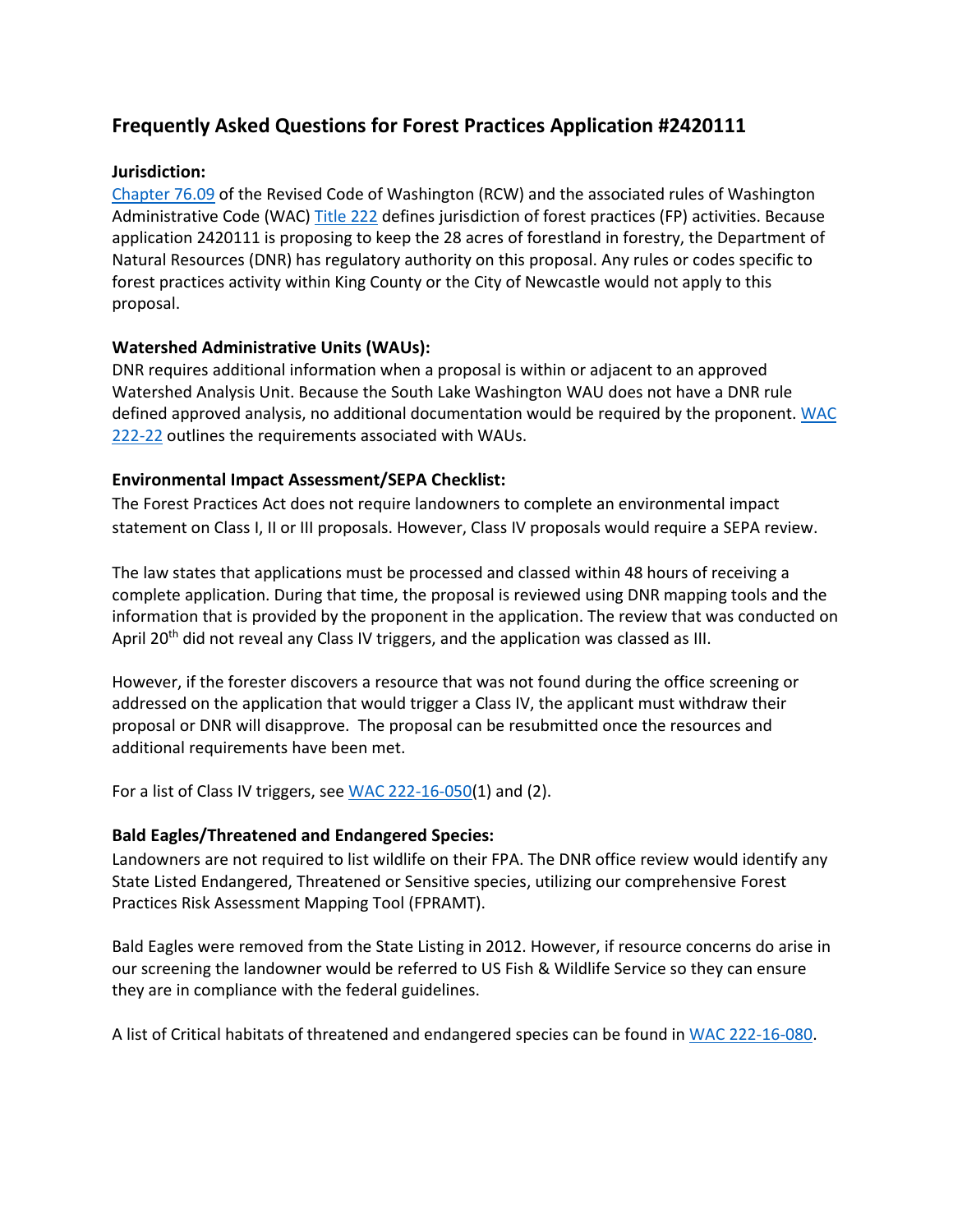# **Frequently Asked Questions for Forest Practices Application #2420111**

## **Jurisdiction:**

[Chapter 76.09](http://app.leg.wa.gov/RCW/default.aspx?cite=76.09) of the Revised Code of Washington (RCW) and the associated rules of Washington Administrative Code (WAC) [Title 222](http://apps.leg.wa.gov/wac/default.aspx?cite=222-30-040) defines jurisdiction of forest practices (FP) activities. Because application 2420111 is proposing to keep the 28 acres of forestland in forestry, the Department of Natural Resources (DNR) has regulatory authority on this proposal. Any rules or codes specific to forest practices activity within King County or the City of Newcastle would not apply to this proposal.

## **Watershed Administrative Units (WAUs):**

DNR requires additional information when a proposal is within or adjacent to an approved Watershed Analysis Unit. Because the South Lake Washington WAU does not have a DNR rule defined approved analysis, no additional documentation would be required by the proponent. [WAC](http://apps.leg.wa.gov/wac/default.aspx?cite=222-22)  [222-22](http://apps.leg.wa.gov/wac/default.aspx?cite=222-22) outlines the requirements associated with WAUs.

## **Environmental Impact Assessment/SEPA Checklist:**

The Forest Practices Act does not require landowners to complete an environmental impact statement on Class I, II or III proposals. However, Class IV proposals would require a SEPA review.

The law states that applications must be processed and classed within 48 hours of receiving a complete application. During that time, the proposal is reviewed using DNR mapping tools and the information that is provided by the proponent in the application. The review that was conducted on April 20<sup>th</sup> did not reveal any Class IV triggers, and the application was classed as III.

However, if the forester discovers a resource that was not found during the office screening or addressed on the application that would trigger a Class IV, the applicant must withdraw their proposal or DNR will disapprove. The proposal can be resubmitted once the resources and additional requirements have been met.

For a list of Class IV triggers, see [WAC 222-16-050\(](http://apps.leg.wa.gov/wac/default.aspx?cite=222-16-050)1) and (2).

#### **Bald Eagles/Threatened and Endangered Species:**

Landowners are not required to list wildlife on their FPA. The DNR office review would identify any State Listed Endangered, Threatened or Sensitive species, utilizing our comprehensive Forest Practices Risk Assessment Mapping Tool (FPRAMT).

Bald Eagles were removed from the State Listing in 2012. However, if resource concerns do arise in our screening the landowner would be referred to US Fish & Wildlife Service so they can ensure they are in compliance with the federal guidelines.

A list of Critical habitats of threatened and endangered species can be found in [WAC 222-16-080.](http://apps.leg.wa.gov/wac/default.aspx?cite=222-16-080)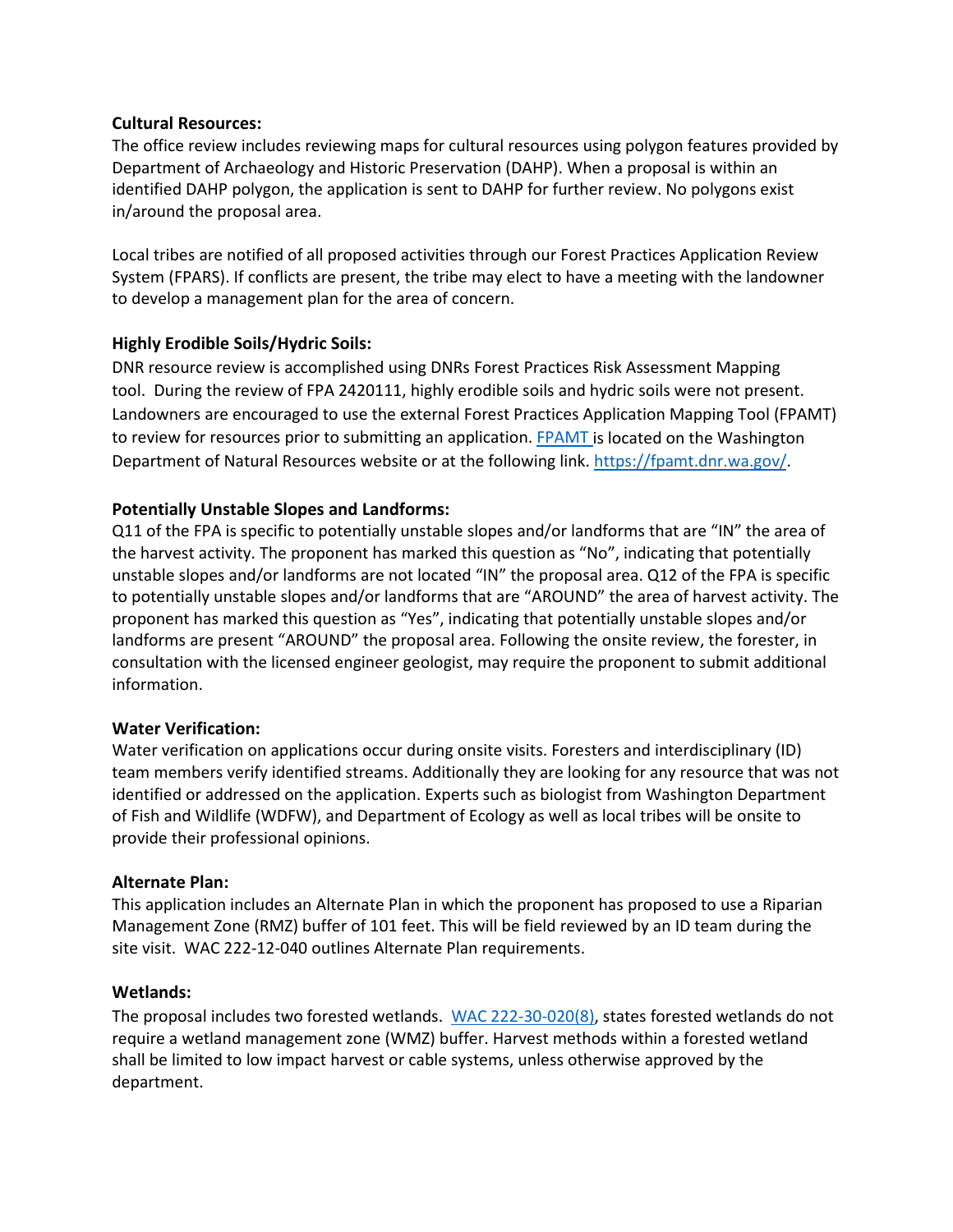## **Cultural Resources:**

The office review includes reviewing maps for cultural resources using polygon features provided by Department of Archaeology and Historic Preservation (DAHP). When a proposal is within an identified DAHP polygon, the application is sent to DAHP for further review. No polygons exist in/around the proposal area.

Local tribes are notified of all proposed activities through our Forest Practices Application Review System (FPARS). If conflicts are present, the tribe may elect to have a meeting with the landowner to develop a management plan for the area of concern.

# **Highly Erodible Soils/Hydric Soils:**

DNR resource review is accomplished using DNRs Forest Practices Risk Assessment Mapping tool. During the review of FPA 2420111, highly erodible soils and hydric soils were not present. Landowners are encouraged to use the external Forest Practices Application Mapping Tool (FPAMT) to review for resources prior to submitting an application. [FPAMT i](https://fpamt.dnr.wa.gov/default.aspx)s located on the Washington Department of Natural Resources website or at the following link[. https://fpamt.dnr.wa.gov/.](https://fpamt.dnr.wa.gov/)

# **Potentially Unstable Slopes and Landforms:**

Q11 of the FPA is specific to potentially unstable slopes and/or landforms that are "IN" the area of the harvest activity. The proponent has marked this question as "No", indicating that potentially unstable slopes and/or landforms are not located "IN" the proposal area. Q12 of the FPA is specific to potentially unstable slopes and/or landforms that are "AROUND" the area of harvest activity. The proponent has marked this question as "Yes", indicating that potentially unstable slopes and/or landforms are present "AROUND" the proposal area. Following the onsite review, the forester, in consultation with the licensed engineer geologist, may require the proponent to submit additional information.

# **Water Verification:**

Water verification on applications occur during onsite visits. Foresters and interdisciplinary (ID) team members verify identified streams. Additionally they are looking for any resource that was not identified or addressed on the application. Experts such as biologist from Washington Department of Fish and Wildlife (WDFW), and Department of Ecology as well as local tribes will be onsite to provide their professional opinions.

# **Alternate Plan:**

This application includes an Alternate Plan in which the proponent has proposed to use a Riparian Management Zone (RMZ) buffer of 101 feet. This will be field reviewed by an ID team during the site visit. WAC 222-12-040 outlines Alternate Plan requirements.

# **Wetlands:**

The proposal includes two forested wetlands. [WAC 222-30-020\(8\),](http://apps.leg.wa.gov/wac/default.aspx?cite=222-30-020) states forested wetlands do not require a wetland management zone (WMZ) buffer. Harvest methods within a forested wetland shall be limited to low impact harvest or cable systems, unless otherwise approved by the department.